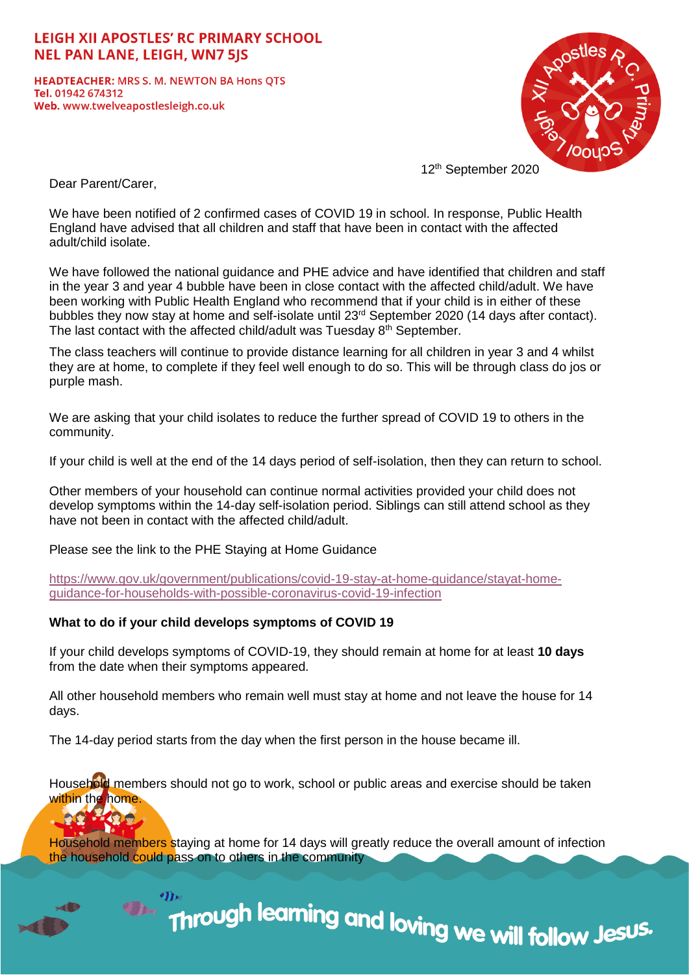# **LEIGH XII APOSTLES' RC PRIMARY SCHOOL NEL PAN LANE, LEIGH, WN7 5IS**

**HEADTEACHER: MRS S. M. NEWTON BA Hons QTS** Tel. 01942 674312 Web. www.twelveapostlesleigh.co.uk



12th September 2020

Dear Parent/Carer,

We have been notified of 2 confirmed cases of COVID 19 in school. In response, Public Health England have advised that all children and staff that have been in contact with the affected adult/child isolate.

We have followed the national guidance and PHE advice and have identified that children and staff in the year 3 and year 4 bubble have been in close contact with the affected child/adult. We have been working with Public Health England who recommend that if your child is in either of these bubbles they now stay at home and self-isolate until 23rd September 2020 (14 days after contact). The last contact with the affected child/adult was Tuesday  $8<sup>th</sup>$  September.

The class teachers will continue to provide distance learning for all children in year 3 and 4 whilst they are at home, to complete if they feel well enough to do so. This will be through class do jos or purple mash.

We are asking that your child isolates to reduce the further spread of COVID 19 to others in the community.

If your child is well at the end of the 14 days period of self-isolation, then they can return to school.

Other members of your household can continue normal activities provided your child does not develop symptoms within the 14-day self-isolation period. Siblings can still attend school as they have not been in contact with the affected child/adult.

Please see the link to the PHE Staying at Home Guidance

[https://www.gov.uk/government/publications/covid-19-stay-at-home-guidance/stayat-home](https://www.gov.uk/government/publications/covid-19-stay-at-home-guidance/stayat-home-guidance-for-households-with-possible-coronavirus-covid-19-infection)[guidance-for-households-with-possible-coronavirus-covid-19-infection](https://www.gov.uk/government/publications/covid-19-stay-at-home-guidance/stayat-home-guidance-for-households-with-possible-coronavirus-covid-19-infection)

### **What to do if your child develops symptoms of COVID 19**

If your child develops symptoms of COVID-19, they should remain at home for at least **10 days** from the date when their symptoms appeared.

All other household members who remain well must stay at home and not leave the house for 14 days.

The 14-day period starts from the day when the first person in the house became ill.

Household members should not go to work, school or public areas and exercise should be taken within the home.



Household members staying at home for 14 days will greatly reduce the overall amount of infection the household could pass on to others in the community

Through learning and loving we will follow Jesus.